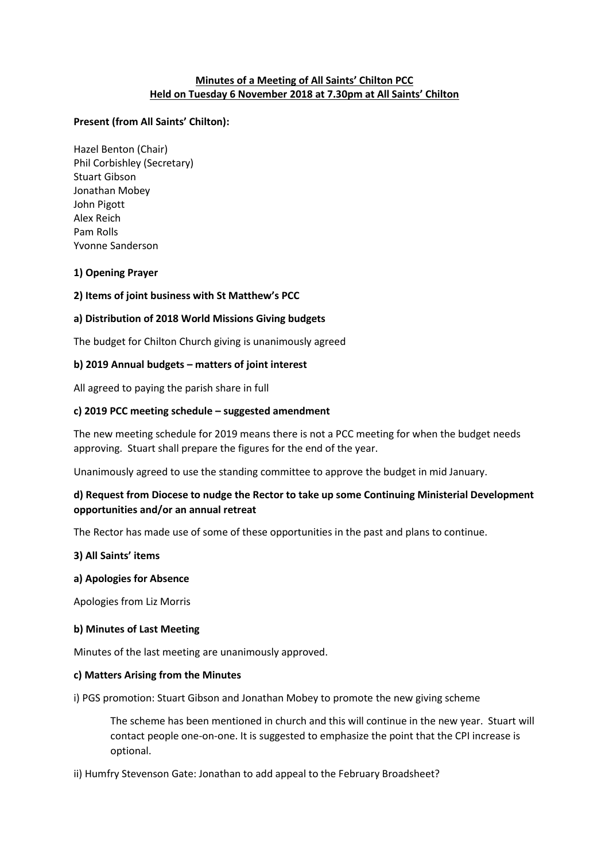## **Minutes of a Meeting of All Saints' Chilton PCC Held on Tuesday 6 November 2018 at 7.30pm at All Saints' Chilton**

## **Present (from All Saints' Chilton):**

Hazel Benton (Chair) Phil Corbishley (Secretary) Stuart Gibson Jonathan Mobey John Pigott Alex Reich Pam Rolls Yvonne Sanderson

## **1) Opening Prayer**

## **2) Items of joint business with St Matthew's PCC**

## **a) Distribution of 2018 World Missions Giving budgets**

The budget for Chilton Church giving is unanimously agreed

## **b) 2019 Annual budgets – matters of joint interest**

All agreed to paying the parish share in full

### **c) 2019 PCC meeting schedule – suggested amendment**

The new meeting schedule for 2019 means there is not a PCC meeting for when the budget needs approving. Stuart shall prepare the figures for the end of the year.

Unanimously agreed to use the standing committee to approve the budget in mid January.

# **d) Request from Diocese to nudge the Rector to take up some Continuing Ministerial Development opportunities and/or an annual retreat**

The Rector has made use of some of these opportunities in the past and plans to continue.

### **3) All Saints' items**

### **a) Apologies for Absence**

Apologies from Liz Morris

### **b) Minutes of Last Meeting**

Minutes of the last meeting are unanimously approved.

### **c) Matters Arising from the Minutes**

i) PGS promotion: Stuart Gibson and Jonathan Mobey to promote the new giving scheme

The scheme has been mentioned in church and this will continue in the new year. Stuart will contact people one-on-one. It is suggested to emphasize the point that the CPI increase is optional.

ii) Humfry Stevenson Gate: Jonathan to add appeal to the February Broadsheet?